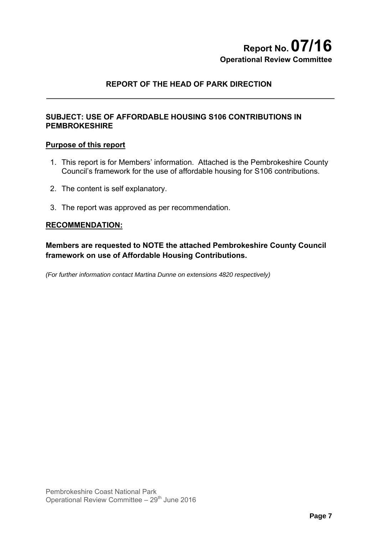# **Report No.07/16 Operational Review Committee**

# **REPORT OF THE HEAD OF PARK DIRECTION**

## **SUBJECT: USE OF AFFORDABLE HOUSING S106 CONTRIBUTIONS IN PEMBROKESHIRE**

#### **Purpose of this report**

- 1. This report is for Members' information. Attached is the Pembrokeshire County Council's framework for the use of affordable housing for S106 contributions.
- 2. The content is self explanatory.
- 3. The report was approved as per recommendation.

#### **RECOMMENDATION:**

**Members are requested to NOTE the attached Pembrokeshire County Council framework on use of Affordable Housing Contributions.** 

*(For further information contact Martina Dunne on extensions 4820 respectively)*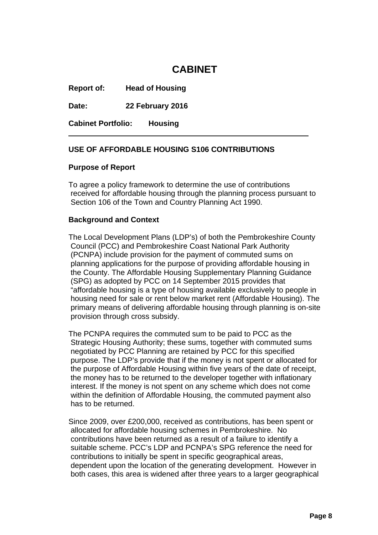# **CABINET**

**Report of: Head of Housing**

**Date: 22 February 2016**

**Cabinet Portfolio: Housing**

#### **USE OF AFFORDABLE HOUSING S106 CONTRIBUTIONS**

#### **Purpose of Report**

To agree a policy framework to determine the use of contributions received for affordable housing through the planning process pursuant to Section 106 of the Town and Country Planning Act 1990.

#### **Background and Context**

The Local Development Plans (LDP's) of both the Pembrokeshire County Council (PCC) and Pembrokeshire Coast National Park Authority (PCNPA) include provision for the payment of commuted sums on planning applications for the purpose of providing affordable housing in the County. The Affordable Housing Supplementary Planning Guidance (SPG) as adopted by PCC on 14 September 2015 provides that "affordable housing is a type of housing available exclusively to people in housing need for sale or rent below market rent (Affordable Housing). The primary means of delivering affordable housing through planning is on-site provision through cross subsidy.

The PCNPA requires the commuted sum to be paid to PCC as the Strategic Housing Authority; these sums, together with commuted sums negotiated by PCC Planning are retained by PCC for this specified purpose. The LDP's provide that if the money is not spent or allocated for the purpose of Affordable Housing within five years of the date of receipt, the money has to be returned to the developer together with inflationary interest. If the money is not spent on any scheme which does not come within the definition of Affordable Housing, the commuted payment also has to be returned.

Since 2009, over £200,000, received as contributions, has been spent or allocated for affordable housing schemes in Pembrokeshire. No contributions have been returned as a result of a failure to identify a suitable scheme. PCC's LDP and PCNPA's SPG reference the need for contributions to initially be spent in specific geographical areas, dependent upon the location of the generating development. However in both cases, this area is widened after three years to a larger geographical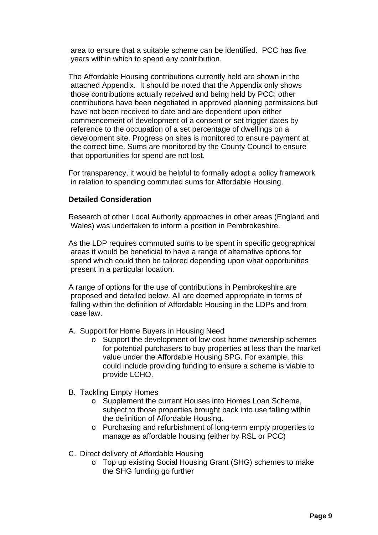area to ensure that a suitable scheme can be identified. PCC has five years within which to spend any contribution.

The Affordable Housing contributions currently held are shown in the attached Appendix. It should be noted that the Appendix only shows those contributions actually received and being held by PCC; other contributions have been negotiated in approved planning permissions but have not been received to date and are dependent upon either commencement of development of a consent or set trigger dates by reference to the occupation of a set percentage of dwellings on a development site. Progress on sites is monitored to ensure payment at the correct time. Sums are monitored by the County Council to ensure that opportunities for spend are not lost.

For transparency, it would be helpful to formally adopt a policy framework in relation to spending commuted sums for Affordable Housing.

## **Detailed Consideration**

Research of other Local Authority approaches in other areas (England and Wales) was undertaken to inform a position in Pembrokeshire.

As the LDP requires commuted sums to be spent in specific geographical areas it would be beneficial to have a range of alternative options for spend which could then be tailored depending upon what opportunities present in a particular location.

A range of options for the use of contributions in Pembrokeshire are proposed and detailed below. All are deemed appropriate in terms of falling within the definition of Affordable Housing in the LDPs and from case law.

- A. Support for Home Buyers in Housing Need
	- o Support the development of low cost home ownership schemes for potential purchasers to buy properties at less than the market value under the Affordable Housing SPG. For example, this could include providing funding to ensure a scheme is viable to provide LCHO.
- B. Tackling Empty Homes
	- o Supplement the current Houses into Homes Loan Scheme, subject to those properties brought back into use falling within the definition of Affordable Housing.
	- o Purchasing and refurbishment of long-term empty properties to manage as affordable housing (either by RSL or PCC)
- C. Direct delivery of Affordable Housing
	- o Top up existing Social Housing Grant (SHG) schemes to make the SHG funding go further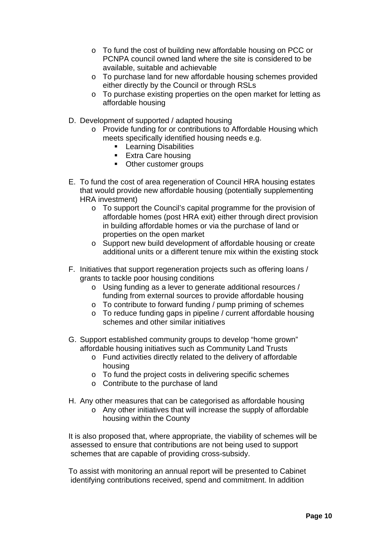- o To fund the cost of building new affordable housing on PCC or PCNPA council owned land where the site is considered to be available, suitable and achievable
- o To purchase land for new affordable housing schemes provided either directly by the Council or through RSLs
- o To purchase existing properties on the open market for letting as affordable housing
- D. Development of supported / adapted housing
	- o Provide funding for or contributions to Affordable Housing which meets specifically identified housing needs e.g.
		- **Learning Disabilities**
		- **Extra Care housing**
		- Other customer groups
- E. To fund the cost of area regeneration of Council HRA housing estates that would provide new affordable housing (potentially supplementing HRA investment)
	- o To support the Council's capital programme for the provision of affordable homes (post HRA exit) either through direct provision in building affordable homes or via the purchase of land or properties on the open market
	- o Support new build development of affordable housing or create additional units or a different tenure mix within the existing stock
- F. Initiatives that support regeneration projects such as offering loans / grants to tackle poor housing conditions
	- o Using funding as a lever to generate additional resources / funding from external sources to provide affordable housing
	- o To contribute to forward funding / pump priming of schemes
	- o To reduce funding gaps in pipeline / current affordable housing schemes and other similar initiatives
- G. Support established community groups to develop "home grown" affordable housing initiatives such as Community Land Trusts
	- o Fund activities directly related to the delivery of affordable housing
	- o To fund the project costs in delivering specific schemes
	- o Contribute to the purchase of land
- H. Any other measures that can be categorised as affordable housing
	- o Any other initiatives that will increase the supply of affordable housing within the County

It is also proposed that, where appropriate, the viability of schemes will be assessed to ensure that contributions are not being used to support schemes that are capable of providing cross-subsidy.

To assist with monitoring an annual report will be presented to Cabinet identifying contributions received, spend and commitment. In addition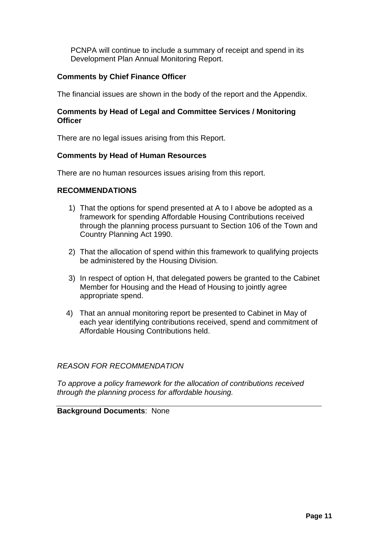PCNPA will continue to include a summary of receipt and spend in its Development Plan Annual Monitoring Report.

# **Comments by Chief Finance Officer**

The financial issues are shown in the body of the report and the Appendix.

### **Comments by Head of Legal and Committee Services / Monitoring Officer**

There are no legal issues arising from this Report.

## **Comments by Head of Human Resources**

There are no human resources issues arising from this report.

## **RECOMMENDATIONS**

- 1) That the options for spend presented at A to I above be adopted as a framework for spending Affordable Housing Contributions received through the planning process pursuant to Section 106 of the Town and Country Planning Act 1990.
- 2) That the allocation of spend within this framework to qualifying projects be administered by the Housing Division.
- 3) In respect of option H, that delegated powers be granted to the Cabinet Member for Housing and the Head of Housing to jointly agree appropriate spend.
- 4) That an annual monitoring report be presented to Cabinet in May of each year identifying contributions received, spend and commitment of Affordable Housing Contributions held.

## *REASON FOR RECOMMENDATION*

*To approve a policy framework for the allocation of contributions received through the planning process for affordable housing.*

## **Background Documents**: None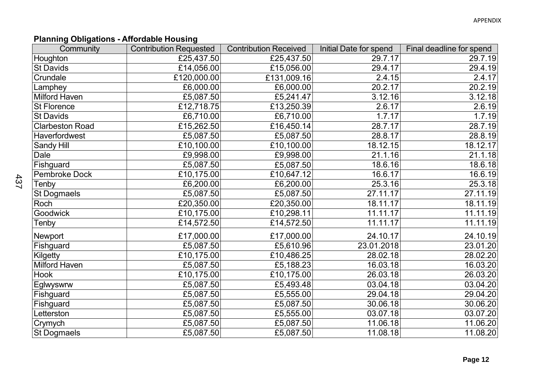# **Planning Obligations - Affordable Housing**

| Community              | <b>Contribution Requested</b> | <b>Contribution Received</b> | Initial Date for spend | Final deadline for spend |
|------------------------|-------------------------------|------------------------------|------------------------|--------------------------|
| Houghton               | £25,437.50                    | £25,437.50                   | 29.7.17                | 29.7.19                  |
| <b>St Davids</b>       | £14,056.00                    | £15,056.00                   | 29.4.17                | 29.4.19                  |
| Crundale               | £120,000.00                   | £131,009.16                  | 2.4.15                 | 2.4.17                   |
| Lamphey                | £6,000.00                     | £6,000.00                    | 20.2.17                | 20.2.19                  |
| <b>Milford Haven</b>   | £5,087.50                     | £5,241.47                    | 3.12.16                | 3.12.18                  |
| St Florence            | £12,718.75                    | £13,250.39                   | 2.6.17                 | 2.6.19                   |
| <b>St Davids</b>       | £6,710.00                     | £6,710.00                    | 1.7.17                 | 1.7.19                   |
| <b>Clarbeston Road</b> | £15,262.50                    | £16,450.14                   | 28.7.17                | 28.7.19                  |
| Haverfordwest          | £5,087.50                     | £5,087.50                    | 28.8.17                | 28.8.19                  |
| Sandy Hill             | $E$ 10,100.00                 | £10,100.00                   | 18.12.15               | 18.12.17                 |
| Dale                   | £9,998.00                     | £9,998.00                    | 21.1.16                | 21.1.18                  |
| Fishguard              | £5,087.50                     | £5,087.50                    | 18.6.16                | 18.6.18                  |
| <b>Pembroke Dock</b>   | £10,175.00                    | £10,647.12                   | 16.6.17                | 16.6.19                  |
| Tenby                  | £6,200.00                     | £6,200.00                    | 25.3.16                | 25.3.18                  |
| <b>St Dogmaels</b>     | £5,087.50                     | £5,087.50                    | 27.11.17               | 27.11.19                 |
| Roch                   | £20,350.00                    | £20,350.00                   | 18.11.17               | 18.11.19                 |
| Goodwick               | £10,175.00                    | £10,298.11                   | 11.11.17               | 11.11.19                 |
| Tenby                  | £14,572.50                    | £14,572.50                   | 11.11.17               | 11.11.19                 |
| Newport                | £17,000.00                    | £17,000.00                   | 24.10.17               | 24.10.19                 |
| Fishguard              | £5,087.50                     | £5,610.96                    | 23.01.2018             | 23.01.20                 |
| Kilgetty               | £10,175.00                    | £10,486.25                   | 28.02.18               | 28.02.20                 |
| <b>Milford Haven</b>   | £5,087.50                     | £5,188.23                    | 16.03.18               | 16.03.20                 |
| <b>Hook</b>            | £10,175.00                    | £10,175.00                   | 26.03.18               | 26.03.20                 |
| Eglwyswrw              | £5,087.50                     | £5,493.48                    | 03.04.18               | 03.04.20                 |
| Fishguard              | £5,087.50                     | £5,555.00                    | 29.04.18               | 29.04.20                 |
| Fishguard              | £5,087.50                     | £5,087.50                    | 30.06.18               | 30.06.20                 |
| Letterston             | £5,087.50                     | £5,555.00                    | 03.07.18               | 03.07.20                 |
| Crymych                | £5,087.50                     | £5,087.50                    | 11.06.18               | 11.06.20                 |
| <b>St Dogmaels</b>     | £5,087.50                     | £5,087.50                    | 11.08.18               | $\overline{11.08.20}$    |